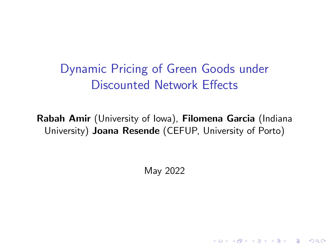Dynamic Pricing of Green Goods under Discounted Network Effects

Rabah Amir (University of Iowa), Filomena Garcia (Indiana University) Joana Resende (CEFUP, University of Porto)

May 2022

**KORK ERKER ADAM ADA**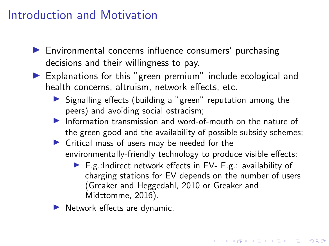# Introduction and Motivation

- $\blacktriangleright$  Environmental concerns influence consumers' purchasing decisions and their willingness to pay.
- $\blacktriangleright$  Explanations for this "green premium" include ecological and health concerns, altruism, network effects, etc.
	- $\triangleright$  Signalling effects (building a "green" reputation among the peers) and avoiding social ostracism;
	- Information transmission and word-of-mouth on the nature of the green good and the availability of possible subsidy schemes;
	- $\blacktriangleright$  Critical mass of users may be needed for the environmentally-friendly technology to produce visible effects:
		- E.g.:Indirect network effects in EV- E.g.: availability of charging stations for EV depends on the number of users (Greaker and Heggedahl, 2010 or Greaker and Midttomme, 2016).
	- Network effects are dynamic.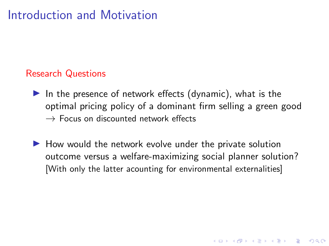# Introduction and Motivation

#### Research Questions

- In the presence of network effects (dynamic), what is the optimal pricing policy of a dominant firm selling a green good  $\rightarrow$  Focus on discounted network effects
- $\blacktriangleright$  How would the network evolve under the private solution outcome versus a welfare-maximizing social planner solution? [With only the latter acounting for environmental externalities]

**KORKARYKERKER POLO**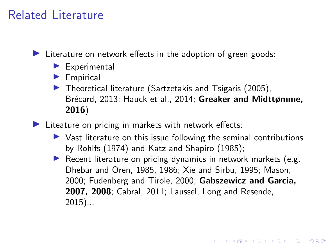# Related Literature

 $\blacktriangleright$  Literature on network effects in the adoption of green goods:

- $\blacktriangleright$  Experimental
- $\blacktriangleright$  Empirical
- $\blacktriangleright$  Theoretical literature (Sartzetakis and Tsigaris (2005), Brécard, 2013; Hauck et al., 2014; Greaker and Midttømme, 2016)

 $\blacktriangleright$  Liteature on pricing in markets with network effects:

- $\triangleright$  Vast literature on this issue following the seminal contributions by Rohlfs (1974) and Katz and Shapiro (1985);
- Recent literature on pricing dynamics in network markets (e.g. Dhebar and Oren, 1985, 1986; Xie and Sirbu, 1995; Mason, 2000; Fudenberg and Tirole, 2000; Gabszewicz and Garcia, 2007, 2008; Cabral, 2011; Laussel, Long and Resende, 2015)...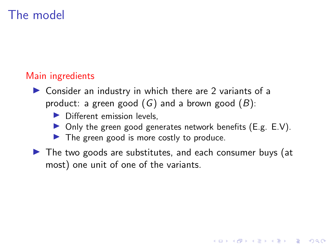### Main ingredients

- $\triangleright$  Consider an industry in which there are 2 variants of a product: a green good  $(G)$  and a brown good  $(B)$ :
	- $\blacktriangleright$  Different emission levels,
	- $\triangleright$  Only the green good generates network benefits (E.g. E.V).

**KORKARYKERKER POLO** 

- $\blacktriangleright$  The green good is more costly to produce.
- $\triangleright$  The two goods are substitutes, and each consumer buys (at most) one unit of one of the variants.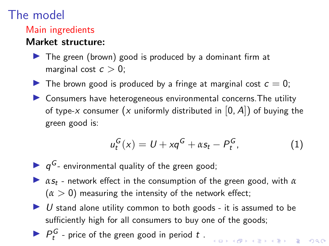### Main ingredients

### Market structure:

- $\triangleright$  The green (brown) good is produced by a dominant firm at marginal cost  $c > 0$ ;
- In The brown good is produced by a fringe at marginal cost  $c = 0$ ;
- $\triangleright$  Consumers have heterogeneous environmental concerns. The utility of type-x consumer (x uniformly distributed in  $[0, A]$ ) of buying the green good is:

$$
u_t^G(x) = U + xq^G + \alpha s_t - P_t^G, \qquad (1)
$$

.<br>◆ ロ ▶ ◆ *団* ▶ ◆ ミ ▶ → ミ ▶ │ ミ │ ◆ つ Q (^

- $\blacktriangleright$   $q^G$  environmental quality of the green good;
- $\triangleright$  *αs<sub>t</sub>* network effect in the consumption of the green good, with *α*  $(\alpha > 0)$  measuring the intensity of the network effect;
- $\triangleright$  U stand alone utility common to both goods it is assumed to be sufficiently high for all consumers to buy one of the goods;
- $\blacktriangleright$   $P_t^G$  price of the green good in period t.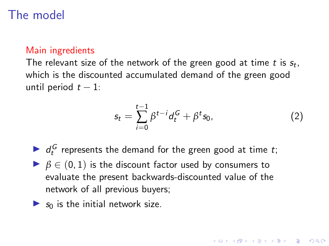### Main ingredients

The relevant size of the network of the green good at time  $t$  is  $s_t$ , which is the discounted accumulated demand of the green good until period  $t - 1$ :

$$
s_t = \sum_{i=0}^{t-1} \beta^{t-i} d_t^G + \beta^t s_0, \qquad (2)
$$

- $\blacktriangleright$   $d_t^G$  represents the demand for the green good at time t;
- $\triangleright$   $\beta \in (0,1)$  is the discount factor used by consumers to evaluate the present backwards-discounted value of the network of all previous buyers;
- $\triangleright$  s<sub>0</sub> is the initial network size.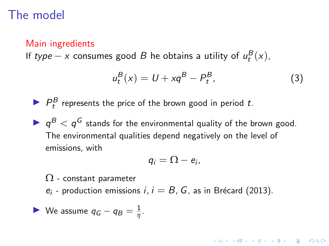#### Main ingredients

If type  $-x$  consumes good B he obtains a utility of  $u_t^B(x)$ ,

$$
u_t^B(x) = U + xq^B - P_t^B,
$$
\n(3)

KID KA KERKER E VOOR

 $\blacktriangleright$   $P_t^B$  represents the price of the brown good in period t.

 $\blacktriangleright$   $q^B < q^G$  stands for the environmental quality of the brown good. The environmental qualities depend negatively on the level of emissions, with

$$
q_i=\Omega-e_i,
$$

 $\Omega$  - constant parameter

 $e_i$  - production emissions  $i, i = B, G$ , as in Brécard (2013).

We assume 
$$
q_G - q_B = \frac{1}{\eta}
$$
.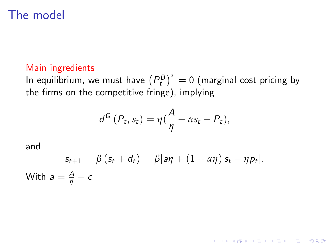#### Main ingredients

In equilibrium, we must have  $(P_t^B)^* = 0$  (marginal cost pricing by the firms on the competitive fringe), implying

$$
d^G(P_t, s_t) = \eta(\frac{A}{\eta} + \alpha s_t - P_t),
$$

and

$$
s_{t+1} = \beta (s_t + d_t) = \beta [a\eta + (1 + \alpha \eta) s_t - \eta p_t].
$$
  
With  $a = \frac{A}{\eta} - c$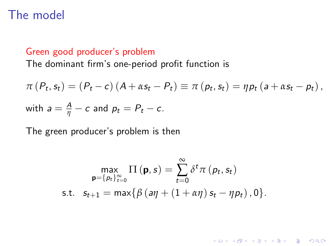#### Green good producer's problem

The dominant firm's one-period profit function is

$$
\pi(P_t, s_t) = (P_t - c) (A + \alpha s_t - P_t) \equiv \pi(p_t, s_t) = \eta p_t (a + \alpha s_t - p_t),
$$
  
with 
$$
a = \frac{A}{\eta} - c
$$
 and 
$$
p_t = P_t - c.
$$

The green producer's problem is then

$$
\max_{\mathbf{p}=\{p_t\}_{t=0}^{\infty}}\Pi(\mathbf{p},s)=\sum_{t=0}^{\infty}\delta^t\pi(p_t,s_t)
$$
  
s.t.  $s_{t+1} = \max\{\beta(a\eta + (1+\alpha\eta)s_t - \eta p_t), 0\}.$ 

**Kロトメ部トメミトメミト ミニのRC**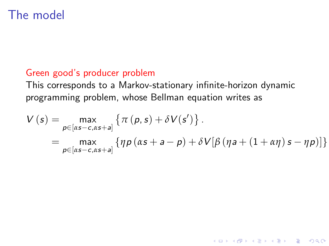### Green good's producer problem

This corresponds to a Markov-stationary infinite-horizon dynamic programming problem, whose Bellman equation writes as

$$
V(s) = \max_{p \in [\alpha s - c, \alpha s + a]} \left\{ \pi(p, s) + \delta V(s') \right\}.
$$
  
= 
$$
\max_{p \in [\alpha s - c, \alpha s + a]} \left\{ \eta p (\alpha s + a - p) + \delta V[\beta (\eta a + (1 + \alpha \eta) s - \eta p)] \right\}
$$

K ロ ▶ K 個 ▶ K 할 ▶ K 할 ▶ 이 할 → 9 Q Q →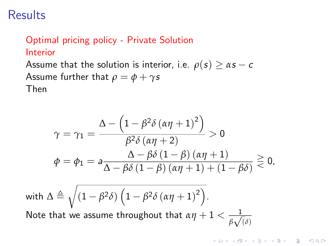## Optimal pricing policy - Private Solution Interior

Assume that the solution is interior, i.e.  $\rho(s) \geq \alpha s - c$ Assume further that  $\rho = \phi + \gamma s$ Then

$$
\gamma = \gamma_1 = \frac{\Delta - \left(1 - \beta^2 \delta \left(\alpha \eta + 1\right)^2\right)}{\beta^2 \delta \left(\alpha \eta + 2\right)} > 0
$$
  

$$
\phi = \phi_1 = a \frac{\Delta - \beta \delta \left(1 - \beta\right) \left(\alpha \eta + 1\right)}{\Delta - \beta \delta \left(1 - \beta\right) \left(\alpha \eta + 1\right) + \left(1 - \beta \delta\right)} \geq 0,
$$

K ロ ▶ K 個 ▶ K 할 ▶ K 할 ▶ 이 할 → 9 Q Q →

with 
$$
\Delta \triangleq \sqrt{(1-\beta^2\delta)\left(1-\beta^2\delta\left(\alpha\eta+1\right)^2\right)}
$$
. Note that we assume throughout that  $\alpha\eta+1 < \frac{1}{\beta\sqrt{\delta}}$ .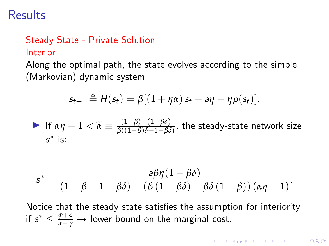### Steady State - Private Solution Interior

Along the optimal path, the state evolves according to the simple (Markovian) dynamic system

$$
s_{t+1} \triangleq H(s_t) = \beta[(1+\eta\alpha) s_t + a\eta - \eta p(s_t)].
$$

If 
$$
\alpha \eta + 1 < \tilde{\alpha} \equiv \frac{(1-\beta)+(1-\beta\delta)}{\beta((1-\beta)\delta+1-\beta\delta)}
$$
, the steady-state network size   
*s*<sup>\*</sup> is:

$$
s^* = \frac{a\beta\eta(1-\beta\delta)}{(1-\beta+1-\beta\delta)-(\beta(1-\beta\delta)+\beta\delta(1-\beta))(\alpha\eta+1)}.
$$

Notice that the steady state satisfies the assumption for interiority if  $s^* \leq \frac{\phi + c}{\alpha - \gamma} \to$  lower bound on the marginal cost.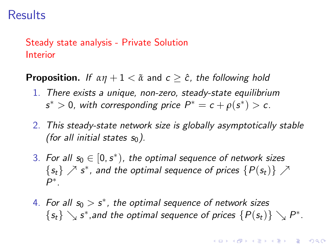### Steady state analysis - Private Solution Interior

**Proposition.** If  $\alpha \eta + 1 < \tilde{\alpha}$  and  $c \geq \hat{c}$ , the following hold

- 1. There exists a unique, non-zero, steady-state equilibrium  $s^* > 0$ , with corresponding price  $P^* = c + \rho(s^*) > c$ .
- 2. This steady-state network size is globally asymptotically stable (for all initial states  $s_0$ ).
- 3. For all  $s_0 \in [0, s^*)$ , the optimal sequence of network sizes  $\{s_t\} \nearrow s^*$ , and the optimal sequence of prices  $\{P(s_t)\} \nearrow$ P ∗ .
- 4. For all  $s_0 > s^*$ , the optimal sequence of network sizes  $\{s_t\} \searrow s^*$ , and the optimal sequence of prices  $\{P(s_t)\} \searrow P^*$ .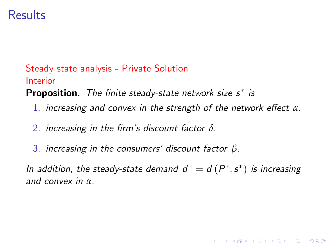### Steady state analysis - Private Solution Interior

Proposition. The finite steady-state network size  $s^*$  is

- 1. increasing and convex in the strength of the network effect *α*.
- 2. increasing in the firm's discount factor *δ*.
- 3. increasing in the consumers' discount factor *β*.

In addition, the steady-state demand  $d^* = d(P^*, s^*)$  is increasing and convex in *α*.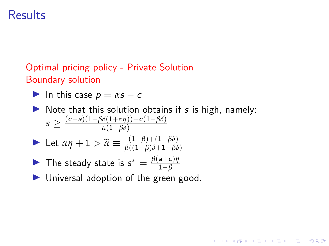### Optimal pricing policy - Private Solution Boundary solution

$$
\blacktriangleright
$$
 In this case  $p = \alpha s - c$ 

 $\triangleright$  Note that this solution obtains if s is high, namely:  $s \geq \frac{(c+a)(1-\beta\delta(1+\alpha\eta))+c(1-\beta\delta)}{\alpha(1-\beta\delta)}$ *α*(1−*βδ*)

KELK KØLK VELKEN EL 1990

Let 
$$
\alpha \eta + 1 > \widetilde{\alpha} \equiv \frac{(1-\beta)+(1-\beta\delta)}{\beta((1-\beta)\delta+1-\beta\delta)}
$$

- The steady state is  $s^* = \frac{\beta(a+c)\eta}{1-\beta}$ 1−*β*
- $\blacktriangleright$  Universal adoption of the green good.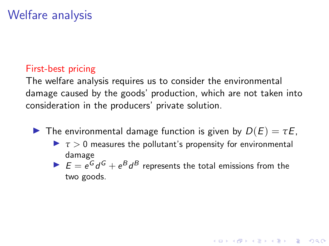### First-best pricing

The welfare analysis requires us to consider the environmental damage caused by the goods' production, which are not taken into consideration in the producers' private solution.

- **I** The environmental damage function is given by  $D(E) = \tau E$ .
	- $\triangleright$   $\tau > 0$  measures the pollutant's propensity for environmental damage
	- $E = e^G d^G + e^B d^B$  represents the total emissions from the two goods.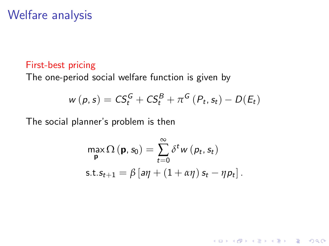#### First-best pricing

The one-period social welfare function is given by

$$
w(p, s) = CS_t^G + CS_t^B + \pi^G (P_t, s_t) - D(E_t)
$$

The social planner's problem is then

$$
\max_{\mathbf{p}} \Omega(\mathbf{p}, s_0) = \sum_{t=0}^{\infty} \delta^t w(\mathbf{p}_t, s_t)
$$
  
s.t.  $s_{t+1} = \beta [\mathbf{a}\eta + (1 + \alpha \eta) s_t - \eta \mathbf{p}_t].$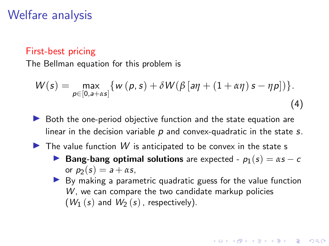#### First-best pricing

The Bellman equation for this problem is

$$
W(s) = \max_{p \in [0, a+\alpha s]} \{ w(p, s) + \delta W(\beta \left[ a\eta + (1 + \alpha \eta) s - \eta p \right] ) \}.
$$
\n(4)

- $\triangleright$  Both the one-period objective function and the state equation are linear in the decision variable  $p$  and convex-quadratic in the state  $s$ .
- $\blacktriangleright$  The value function W is anticipated to be convex in the state s
	- **Bang-bang optimal solutions** are expected  $p_1(s) = \alpha s c$ or  $p_2(s) = a + \alpha s$ ,
	- $\triangleright$  By making a parametric quadratic guess for the value function  $W$ , we can compare the two candidate markup policies  $(W_1(s)$  and  $W_2(s)$ , respectively).

4 0 > 4 4 + 4 = + 4 = + = + + 0 4 0 +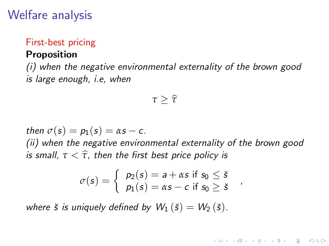### First-best pricing Proposition

(i) when the negative environmental externality of the brown good is large enough, i.e, when

$$
\tau \geq \widehat{\tau}
$$

then  $\sigma(s) = p_1(s) = \alpha s - c$ .

(ii) when the negative environmental externality of the brown good is small,  $\tau < \hat{\tau}$ , then the first best price policy is

$$
\sigma(s) = \begin{cases} p_2(s) = a + \alpha s \text{ if } s_0 \leq \check{s} \\ p_1(s) = \alpha s - c \text{ if } s_0 \geq \check{s} \end{cases}
$$

**KORKARYKERKER POLO** 

where  $\check{s}$  is uniquely defined by  $W_1(\check{s}) = W_2(\check{s})$ .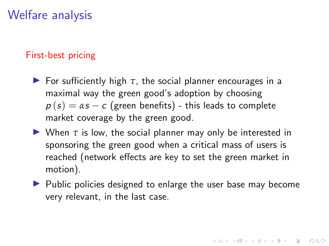### First-best pricing

- **For sufficiently high**  $\tau$ **, the social planner encourages in a** maximal way the green good's adoption by choosing  $p(s) = \alpha s - c$  (green benefits) - this leads to complete market coverage by the green good.
- $\triangleright$  When  $\tau$  is low, the social planner may only be interested in sponsoring the green good when a critical mass of users is reached (network effects are key to set the green market in motion).
- $\blacktriangleright$  Public policies designed to enlarge the user base may become very relevant, in the last case.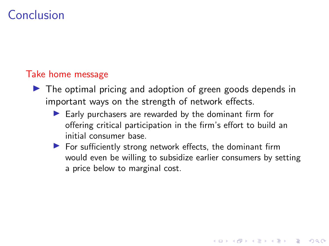# Conclusion

### Take home message

- $\triangleright$  The optimal pricing and adoption of green goods depends in important ways on the strength of network effects.
	- $\blacktriangleright$  Early purchasers are rewarded by the dominant firm for offering critical participation in the firm's effort to build an initial consumer base.
	- $\blacktriangleright$  For sufficiently strong network effects, the dominant firm would even be willing to subsidize earlier consumers by setting a price below to marginal cost.

**KORKARYKERKER POLO**